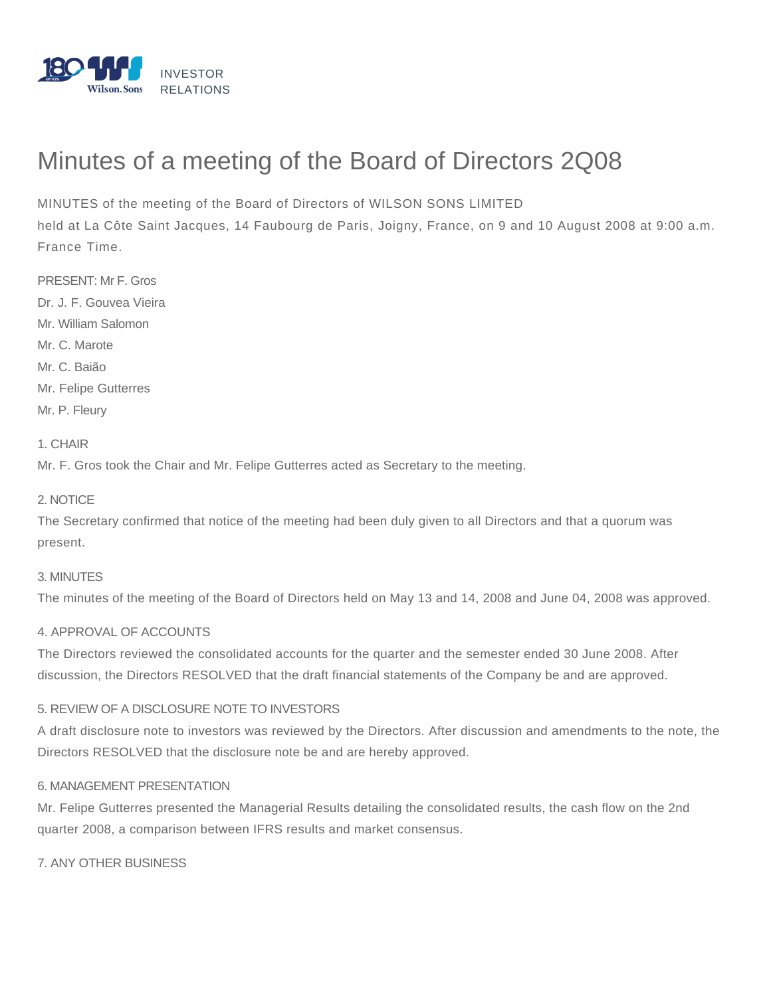

# Minutes of a meeting of the Board of Directors 2Q08

MINUTES of the meeting of the Board of Directors of WILSON SONS LIMITED

held at La Côte Saint Jacques, 14 Faubourg de Paris, Joigny, France, on 9 and 10 August 2008 at 9:00 a.m. France Time.

PRESENT: Mr F. Gros Dr. J. F. Gouvea Vieira Mr. William Salomon Mr. C. Marote Mr. C. Baião Mr. Felipe Gutterres Mr. P. Fleury

1. CHAIR

Mr. F. Gros took the Chair and Mr. Felipe Gutterres acted as Secretary to the meeting.

2. NOTICE

The Secretary confirmed that notice of the meeting had been duly given to all Directors and that a quorum was present.

### 3. MINUTES

The minutes of the meeting of the Board of Directors held on May 13 and 14, 2008 and June 04, 2008 was approved.

### 4. APPROVAL OF ACCOUNTS

The Directors reviewed the consolidated accounts for the quarter and the semester ended 30 June 2008. After discussion, the Directors RESOLVED that the draft financial statements of the Company be and are approved.

### 5. REVIEW OF A DISCLOSURE NOTE TO INVESTORS

A draft disclosure note to investors was reviewed by the Directors. After discussion and amendments to the note, the Directors RESOLVED that the disclosure note be and are hereby approved.

#### 6. MANAGEMENT PRESENTATION

Mr. Felipe Gutterres presented the Managerial Results detailing the consolidated results, the cash flow on the 2nd quarter 2008, a comparison between IFRS results and market consensus.

7. ANY OTHER BUSINESS